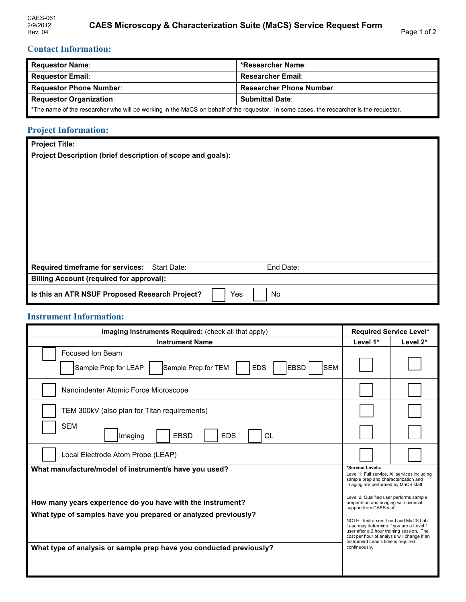## **Contact Information:**

| <b>Requestor Name:</b>                                                                                                                  | *Researcher Name:               |  |
|-----------------------------------------------------------------------------------------------------------------------------------------|---------------------------------|--|
| <b>Requestor Email:</b>                                                                                                                 | <b>Researcher Email:</b>        |  |
| <b>Requestor Phone Number:</b>                                                                                                          | <b>Researcher Phone Number:</b> |  |
| <b>Requestor Organization:</b>                                                                                                          | <b>Submittal Date:</b>          |  |
| *The name of the researcher who will be working in the MaCS on behalf of the requestor. In some cases, the researcher is the requestor. |                                 |  |

# **Project Information:**

| Project Description (brief description of scope and goals):         |  |  |  |  |
|---------------------------------------------------------------------|--|--|--|--|
|                                                                     |  |  |  |  |
|                                                                     |  |  |  |  |
|                                                                     |  |  |  |  |
|                                                                     |  |  |  |  |
|                                                                     |  |  |  |  |
|                                                                     |  |  |  |  |
|                                                                     |  |  |  |  |
|                                                                     |  |  |  |  |
|                                                                     |  |  |  |  |
|                                                                     |  |  |  |  |
|                                                                     |  |  |  |  |
| <b>Required timeframe for services:</b><br>Start Date:<br>End Date: |  |  |  |  |
| <b>Billing Account (required for approval):</b>                     |  |  |  |  |
| Is this an ATR NSUF Proposed Research Project?<br>Yes<br>No         |  |  |  |  |

### **Instrument Information:**

| Imaging Instruments Required: (check all that apply)                                                                                  |  | <b>Required Service Level*</b>                                                                                                                                                                                                   |  |
|---------------------------------------------------------------------------------------------------------------------------------------|--|----------------------------------------------------------------------------------------------------------------------------------------------------------------------------------------------------------------------------------|--|
| <b>Instrument Name</b>                                                                                                                |  | Level 2*                                                                                                                                                                                                                         |  |
| Focused Ion Beam<br>Sample Prep for LEAP<br><b>EBSD</b><br>Sample Prep for TEM<br><b>EDS</b><br><b>SEM</b>                            |  |                                                                                                                                                                                                                                  |  |
| Nanoindenter Atomic Force Microscope                                                                                                  |  |                                                                                                                                                                                                                                  |  |
| TEM 300kV (also plan for Titan requirements)                                                                                          |  |                                                                                                                                                                                                                                  |  |
| <b>SEM</b><br><b>FBSD</b><br><b>EDS</b><br>CL<br>Imaging                                                                              |  |                                                                                                                                                                                                                                  |  |
| Local Electrode Atom Probe (LEAP)                                                                                                     |  |                                                                                                                                                                                                                                  |  |
| What manufacture/model of instrument/s have you used?                                                                                 |  | *Service Levels:<br>Level 1: Full service. All services including<br>sample prep and characterization and<br>imaging are performed by MaCS staff.                                                                                |  |
| How many years experience do you have with the instrument?                                                                            |  | Level 2: Qualified user performs sample<br>preparation and imaging with minimal<br>support from CAES staff.                                                                                                                      |  |
| What type of samples have you prepared or analyzed previously?<br>What type of analysis or sample prep have you conducted previously? |  | NOTE: Instrument Lead and MaCS Lab<br>Lead may determine if you are a Level 1<br>user after a 2 hour training session. The<br>cost per hour of analysis will change if an<br>Instrument Lead's time is required<br>continuously. |  |